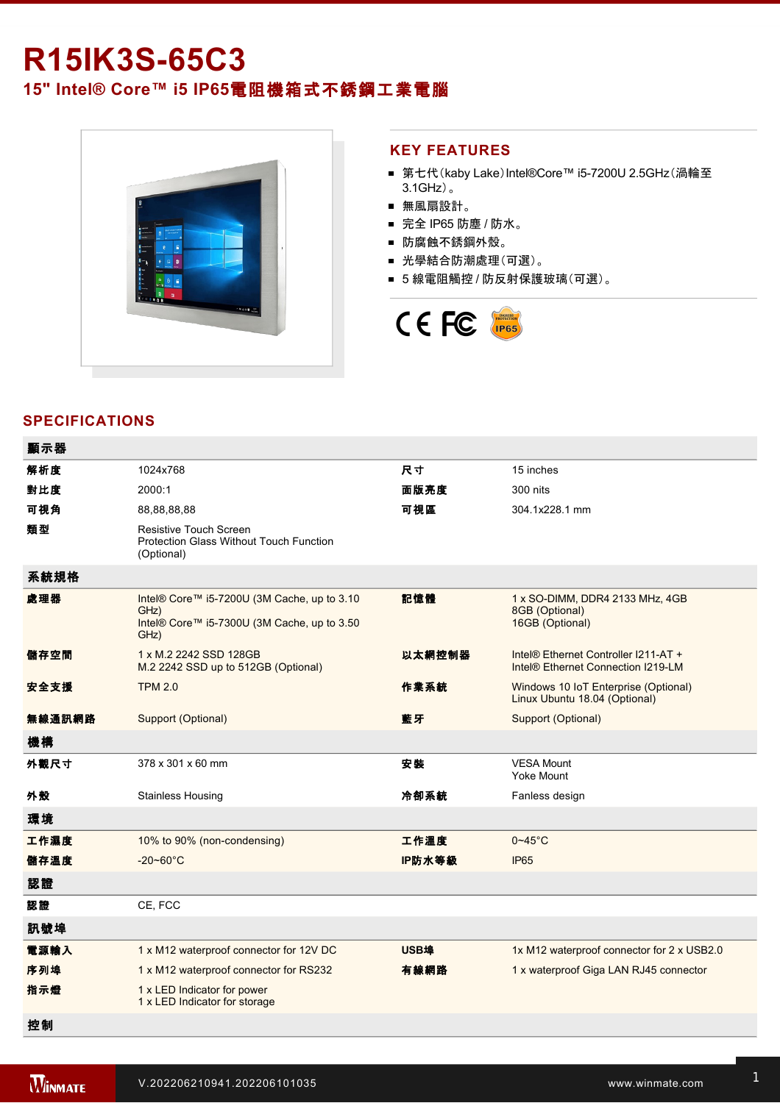# **R15IK3S-65C3**

## **15" Intel® Core™ i5 IP65**電阻機箱式不銹鋼工業電腦



#### **KEY FEATURES**

- 第七代(kaby Lake)Intel®Core™ i5-7200U 2.5GHz(渦輪至 3.1GHz)。
- 無風扇設計。
- 完全 IP65 防塵 / 防水。
- 防腐蝕不銹鋼外殼。
- 光學結合防潮處理(可選)。
- 5 線電阻觸控 / 防反射保護玻璃(可選)。



### **SPECIFICATIONS**

| 顯示器    |                                                                                                            |        |                                                                                        |
|--------|------------------------------------------------------------------------------------------------------------|--------|----------------------------------------------------------------------------------------|
| 解析度    | 1024x768                                                                                                   | 尺寸     | 15 inches                                                                              |
| 對比度    | 2000:1                                                                                                     | 面版亮度   | 300 nits                                                                               |
| 可視角    | 88,88,88,88                                                                                                | 可視區    | 304.1x228.1 mm                                                                         |
| 類型     | Resistive Touch Screen<br><b>Protection Glass Without Touch Function</b><br>(Optional)                     |        |                                                                                        |
| 系統規格   |                                                                                                            |        |                                                                                        |
| 處理器    | Intel® Core™ i5-7200U (3M Cache, up to 3.10<br>GHz)<br>Intel® Core™ i5-7300U (3M Cache, up to 3.50<br>GHz) | 記憶體    | 1 x SO-DIMM, DDR4 2133 MHz, 4GB<br>8GB (Optional)<br>16GB (Optional)                   |
| 儲存空間   | 1 x M.2 2242 SSD 128GB<br>M.2 2242 SSD up to 512GB (Optional)                                              | 以太網控制器 | Intel® Ethernet Controller I211-AT +<br>Intel <sup>®</sup> Ethernet Connection I219-LM |
| 安全支援   | <b>TPM 2.0</b>                                                                                             | 作業系統   | Windows 10 IoT Enterprise (Optional)<br>Linux Ubuntu 18.04 (Optional)                  |
| 無線通訊網路 | Support (Optional)                                                                                         | 藍牙     | Support (Optional)                                                                     |
| 機構     |                                                                                                            |        |                                                                                        |
| 外觀尺寸   | 378 x 301 x 60 mm                                                                                          | 安装     | <b>VESA Mount</b><br>Yoke Mount                                                        |
| 外殼     | <b>Stainless Housing</b>                                                                                   | 冷卻系統   | Fanless design                                                                         |
| 環境     |                                                                                                            |        |                                                                                        |
| 工作濕度   | 10% to 90% (non-condensing)                                                                                | 工作溫度   | $0 - 45$ °C                                                                            |
| 儲存溫度   | $-20 - 60^{\circ}$ C                                                                                       | IP防水等級 | <b>IP65</b>                                                                            |
| 認證     |                                                                                                            |        |                                                                                        |
| 認證     | CE, FCC                                                                                                    |        |                                                                                        |
| 訊號埠    |                                                                                                            |        |                                                                                        |
| 電源輸入   | 1 x M12 waterproof connector for 12V DC                                                                    | USB埠   | 1x M12 waterproof connector for 2 x USB2.0                                             |
| 序列埠    | 1 x M12 waterproof connector for RS232                                                                     | 有線網路   | 1 x waterproof Giga LAN RJ45 connector                                                 |
| 指示燈    | 1 x LED Indicator for power<br>1 x LED Indicator for storage                                               |        |                                                                                        |
| 控制     |                                                                                                            |        |                                                                                        |

1 x Reset Button Burguera<br>1 x Reset Button Burguera

配件 100~240V AC to DC Adapter with waterproof